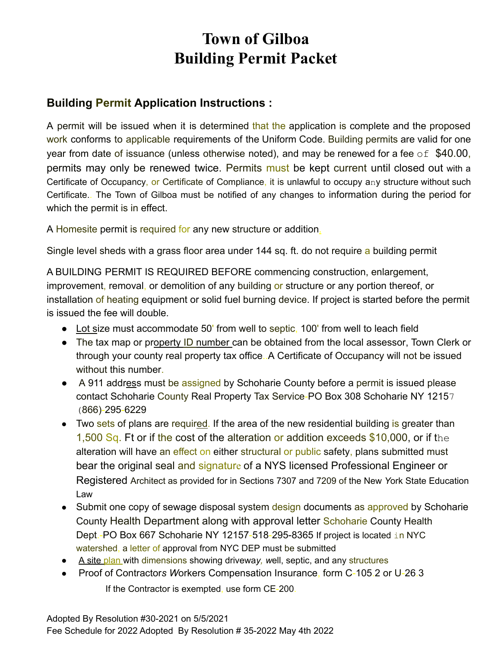# **Town of Gilboa Building Permit Packet**

## **Building Permit Application Instructions :**

A permit will be issued when it is determined that the application is complete and the proposed work conforms to applicable requirements of the Uniform Code. Building permits are valid for one year from date of issuance (unless otherwise noted), and may be renewed for a fee  $\circ$  f \$40.00, permits may only be renewed twice. Permits must be kept current until closed out with a Certificate of Occupancy, or Certificate of Compliance, it is unlawful to occupy any structure without such Certificate.. The Town of Gilboa must be notified of any changes to information during the period for which the permit is in effect.

A Homesite permit is required for any new structure or addition.

Single level sheds with a grass floor area under 144 sq. ft. do not require a building permit

A BUILDING PERMIT IS REQUIRED BEFORE commencing construction, enlargement, improvement, removal, or demolition of any building or structure or any portion thereof, or installation of heating equipment or solid fuel burning device. If project is started before the permit is issued the fee will double.

- Lot size must accommodate 50' from well to septic, 100' from well to leach field
- The tax map or property ID number can be obtained from the local assessor, Town Clerk or through your county real property tax office..A Certificate of Occupancy will not be issued without this number.
- A 911 address must be assigned by Schoharie County before a permit is issued please contact Schoharie County Real Property Tax Service-PO Box 308 Schoharie NY 12157 (866)-295-6229
- Two sets of plans are required. If the area of the new residential building is greater than 1,500 Sq. Ft or if the cost of the alteration or addition exceeds  $$10,000$ , or if the alteration will have an effect on either structural or public safety, plans submitted must bear the original seal and signature of a NYS licensed Professional Engineer or Registered Architect as provided for in Sections 7307 and 7209 of the New *Y*ork State Education Law
- Submit one copy of sewage disposal system design documents as approved by Schoharie County Health Department along with approval letter Schoharie County Health Dept.-PO Box 667 Schoharie NY 12157-518-295-8365 If project is located in NYC watershed, a letter of approval from NYC DEP must be submitted
- A site plan with dimensions showing drivewa*y, w*ell, septic, and any structures
- Proof of Contractor*s W*orkers Compensation Insurance, form C-105.2 or U-26.3 If the Contractor is exempted, use form CE-200.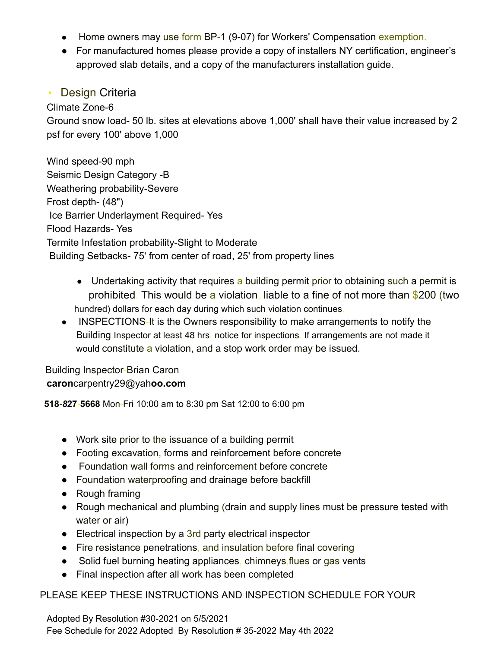- Home owners may use form BP-1 (9-07) for Workers' Compensation exemption.
- For manufactured homes please provide a copy of installers NY certification, engineer's approved slab details, and a copy of the manufacturers installation guide.

### • Design Criteria

Climate Zone-6

Ground snow load- 50 lb. sites at elevations above 1,000' shall have their value increased by 2 psf for every 100' above 1,000

Wind speed-90 mph Seismic Design Category -B Weathering probability-Severe Frost depth- (48") Ice Barrier Underlayment Required- Yes Flood Hazards- Yes Termite Infestation probability-Slight to Moderate Building Setbacks- 75' from center of road, 25' from property lines

- Undertaking activity that requires a building permit prior to obtaining such a permit is prohibited. This would be a violation, liable to a fine of not more than \$200 (two hundred) dollars for each day during which such violation continues.
- INSPECTIONS-It is the Owners responsibility to make arrangements to notify the Building Inspector at least 48 hrs. notice for inspections. If arrangements are not made it would constitute a violation, and a stop work order may be issued.

Building Inspector-Brian Caron **caron**carpentry29@yah**oo.com**

**518-***8***27-5668** Mon-Fri 10:00 am to 8:30 pm Sat 12:00 to 6:00 pm

- Work site prior to the issuance of a building permit
- Footing excavation, forms and reinforcement before concrete
- Foundation wall forms and reinforcement before concrete
- Foundation waterproofing and drainage before backfill
- Rough framing
- Rough mechanical and plumbing (drain and supply lines must be pressure tested with water or air)
- Electrical inspection by a 3rd party electrical inspector
- Fire resistance penetrations, and insulation before final covering
- Solid fuel burning heating appliances, chimneys, flues or gas vents
- Final inspection after all work has been completed

### PLEASE KEEP THESE INSTRUCTIONS AND INSPECTION SCHEDULE FOR YOUR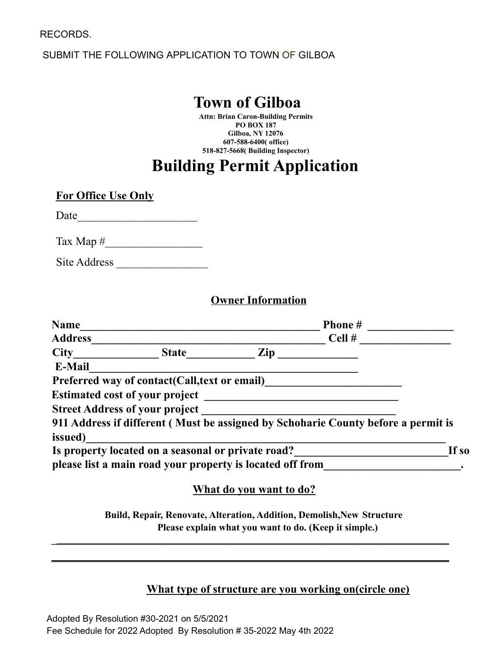SUBMIT THE FOLLOWING APPLICATION TO TOWN OF GILBOA

## **Town of Gilboa**

**Attn: Brian Caron-Building Permits PO BOX 187 Gilboa, NY 12076 607-588-6400( office) 518-827-5668( Building Inspector)**

# **Building Permit Application**

**For Office Use Only**

Date\_\_\_\_\_\_\_\_\_\_\_\_\_\_\_\_\_\_\_\_\_

Tax Map #\_\_\_\_\_\_\_\_\_\_\_\_\_\_\_\_\_

Site Address

#### **Owner Information**

| <b>Name</b>    |                                                           |     | <b>Phone</b> #                                                                    |       |
|----------------|-----------------------------------------------------------|-----|-----------------------------------------------------------------------------------|-------|
| <b>Address</b> |                                                           |     | Cell#                                                                             |       |
| <b>City</b>    | <b>State</b>                                              | Zip |                                                                                   |       |
| E-Mail         |                                                           |     |                                                                                   |       |
|                | Preferred way of contact(Call, text or email)             |     |                                                                                   |       |
|                | <b>Estimated cost of your project</b>                     |     |                                                                                   |       |
|                | <b>Street Address of your project</b>                     |     |                                                                                   |       |
| issued)        |                                                           |     | 911 Address if different (Must be assigned by Schoharie County before a permit is |       |
|                | Is property located on a seasonal or private road?        |     |                                                                                   | If so |
|                | please list a main road your property is located off from |     |                                                                                   |       |
|                |                                                           |     |                                                                                   |       |

### **What do you want to do?**

**Build, Repair, Renovate, Alteration, Addition, Demolish,New Structure Please explain what you want to do. (Keep it simple.)**

**\_\_\_\_\_\_\_\_\_\_\_\_\_\_\_\_\_\_\_\_\_\_\_\_\_\_\_\_\_\_\_\_\_\_\_\_\_\_\_\_\_\_\_\_\_\_\_\_\_\_\_\_\_\_\_\_\_\_\_\_\_\_\_\_\_\_\_\_\_\_\_\_\_\_\_\_\_\_\_\_\_**

**\_\_\_\_\_\_\_\_\_\_\_\_\_\_\_\_\_\_\_\_\_\_\_\_\_\_\_\_\_\_\_\_\_\_\_\_\_\_\_\_\_\_\_\_\_\_\_\_\_\_\_\_\_\_\_\_\_\_\_\_\_\_\_\_\_\_\_\_\_\_\_\_\_\_\_\_\_\_\_\_\_**

#### **What type of structure are you working on(circle one)**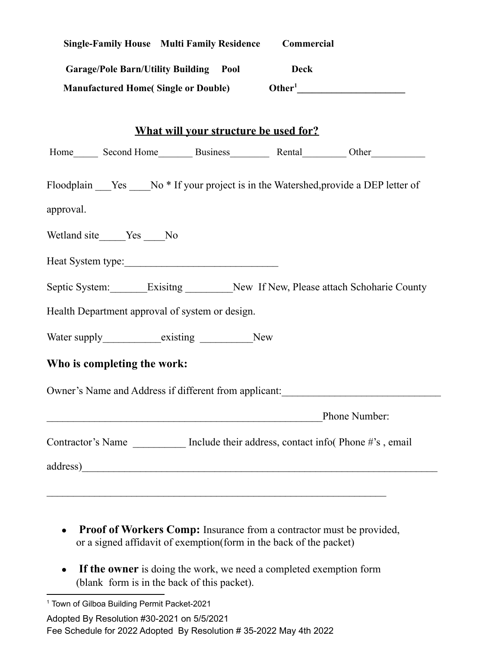|           |                             | <b>Single-Family House Multi Family Residence</b> | Commercial  |                                                                                         |
|-----------|-----------------------------|---------------------------------------------------|-------------|-----------------------------------------------------------------------------------------|
|           |                             | <b>Garage/Pole Barn/Utility Building Pool</b>     | <b>Deck</b> |                                                                                         |
|           |                             |                                                   |             |                                                                                         |
|           |                             |                                                   |             |                                                                                         |
|           |                             | <b>What will your structure be used for?</b>      |             |                                                                                         |
|           |                             |                                                   |             |                                                                                         |
|           |                             |                                                   |             | Floodplain ___Yes ____No * If your project is in the Watershed, provide a DEP letter of |
| approval. |                             |                                                   |             |                                                                                         |
|           | Wetland site_____Yes ____No |                                                   |             |                                                                                         |
|           |                             |                                                   |             |                                                                                         |
|           |                             |                                                   |             | Septic System:________Exisitng __________New If New, Please attach Schoharie County     |
|           |                             | Health Department approval of system or design.   |             |                                                                                         |
|           |                             |                                                   |             |                                                                                         |
|           | Who is completing the work: |                                                   |             |                                                                                         |
|           |                             |                                                   |             | Owner's Name and Address if different from applicant:                                   |
|           |                             |                                                   |             | Phone Number:                                                                           |
|           |                             |                                                   |             | Contractor's Name __________ Include their address, contact info(Phone#'s, email        |
|           |                             |                                                   |             |                                                                                         |
|           |                             |                                                   |             |                                                                                         |

- **Proof of Workers Comp:** Insurance from a contractor must be provided, or a signed affidavit of exemption(form in the back of the packet)
- **If the owner** is doing the work, we need a completed exemption form (blank form is in the back of this packet).

<sup>1</sup> Town of Gilboa Building Permit Packet-2021

Adopted By Resolution #30-2021 on 5/5/2021

Fee Schedule for 2022 Adopted By Resolution # 35-2022 May 4th 2022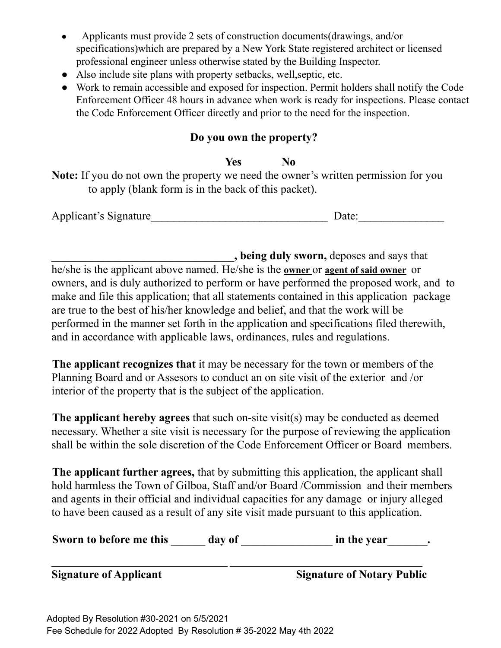- Applicants must provide 2 sets of construction documents (drawings, and/or specifications)which are prepared by a New York State registered architect or licensed professional engineer unless otherwise stated by the Building Inspector.
- Also include site plans with property setbacks, well,septic, etc.
- Work to remain accessible and exposed for inspection. Permit holders shall notify the Code Enforcement Officer 48 hours in advance when work is ready for inspections. Please contact the Code Enforcement Officer directly and prior to the need for the inspection.

## **Do you own the property?**

## **Yes No**

**Note:** If you do not own the property we need the owner's written permission for you to apply (blank form is in the back of this packet).

| Applicant's Signature | Date: |
|-----------------------|-------|
|-----------------------|-------|

**\_\_\_\_\_\_\_\_\_\_\_\_\_\_\_\_\_\_\_\_\_\_\_\_\_\_\_\_\_\_\_\_, being duly sworn,** deposes and says that he/she is the applicant above named. He/she is the **owner** or **agent of said owner** or owners, and is duly authorized to perform or have performed the proposed work, and to make and file this application; that all statements contained in this application package are true to the best of his/her knowledge and belief, and that the work will be performed in the manner set forth in the application and specifications filed therewith, and in accordance with applicable laws, ordinances, rules and regulations.

**The applicant recognizes that** it may be necessary for the town or members of the Planning Board and or Assesors to conduct an on site visit of the exterior and /or interior of the property that is the subject of the application.

**The applicant hereby agrees** that such on-site visit(s) may be conducted as deemed necessary. Whether a site visit is necessary for the purpose of reviewing the application shall be within the sole discretion of the Code Enforcement Officer or Board members.

**The applicant further agrees,** that by submitting this application, the applicant shall hold harmless the Town of Gilboa, Staff and/or Board /Commission and their members and agents in their official and individual capacities for any damage or injury alleged to have been caused as a result of any site visit made pursuant to this application.

| Sworn to before me this | day of | in the year |  |
|-------------------------|--------|-------------|--|
|-------------------------|--------|-------------|--|

**\_\_\_\_\_\_\_\_\_\_\_\_\_\_\_\_\_\_\_\_\_\_\_\_\_\_\_\_\_\_\_\_\_\_\_\_\_\_\_\_\_\_\_ \_\_\_\_\_\_\_\_\_\_\_\_\_\_\_\_\_\_\_\_\_\_\_\_\_\_\_\_\_\_\_\_\_\_\_\_\_\_\_\_\_\_\_\_\_\_\_ Signature of Applicant Signature of Notary Public**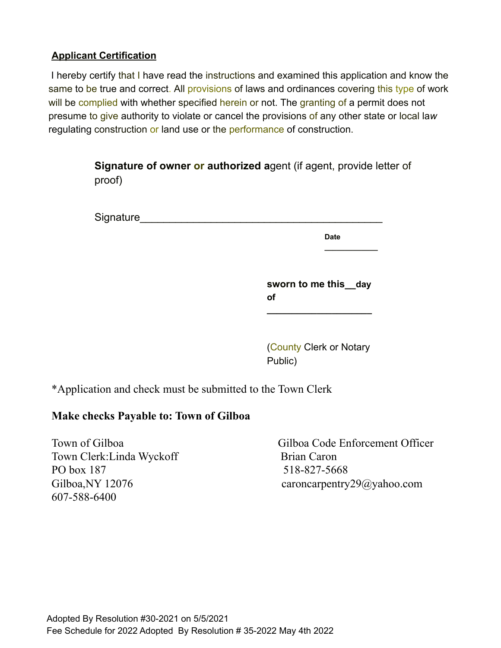#### **Applicant Certification**

I hereby certify that I have read the instructions and examined this application and know the same to be true and correct. All provisions of laws and ordinances covering this type of work will be complied with whether specified herein or not. The granting of a permit does not presume to give authority to violate or cancel the provisions of any other state or local la*w* regulating construction or land use or the performance of construction.

> **Signature of owner or authorized a**gent (if agent, provide letter of proof)

| Signature |
|-----------|
|-----------|

**Date**

**\_\_\_\_\_\_\_\_\_\_\_\_\_**

**sworn to me this\_\_day of**

**\_\_\_\_\_\_\_\_\_\_\_\_\_\_\_\_\_\_\_\_\_**

(County Clerk or Notary Public)

\*Application and check must be submitted to the Town Clerk

### **Make checks Payable to: Town of Gilboa**

Town of Gilboa Code Enforcement Officer Town Clerk: Linda Wyckoff Brian Caron PO box 187 518-827-5668 Gilboa, NY 12076 caroncarpentry29@yahoo.com 607-588-6400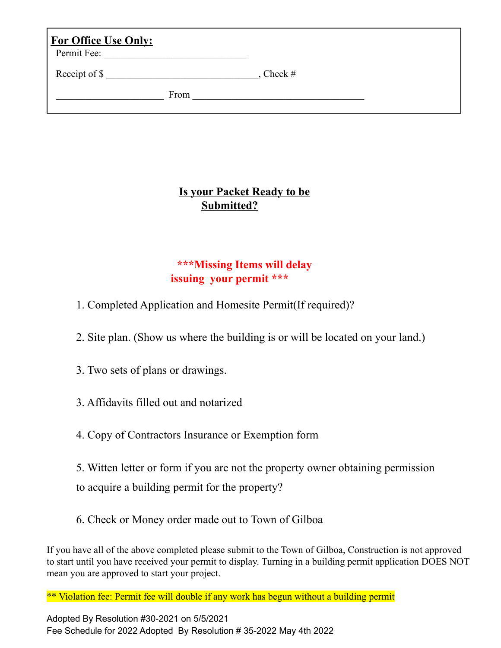| <b>For Office Use Only:</b><br>Permit Fee: |           |  |
|--------------------------------------------|-----------|--|
| Receipt of \$                              | Check $#$ |  |
| From                                       |           |  |

## **Is your Packet Ready to be Submitted?**

## **\*\*\*Missing Items will delay issuing your permit \*\*\***

- 1. Completed Application and Homesite Permit(If required)?
- 2. Site plan. (Show us where the building is or will be located on your land.)
- 3. Two sets of plans or drawings.
- 3. Affidavits filled out and notarized
- 4. Copy of Contractors Insurance or Exemption form
- 5. Witten letter or form if you are not the property owner obtaining permission to acquire a building permit for the property?
- 6. Check or Money order made out to Town of Gilboa

If you have all of the above completed please submit to the Town of Gilboa, Construction is not approved to start until you have received your permit to display. Turning in a building permit application DOES NOT mean you are approved to start your project.

\*\* Violation fee: Permit fee will double if any work has begun without a building permit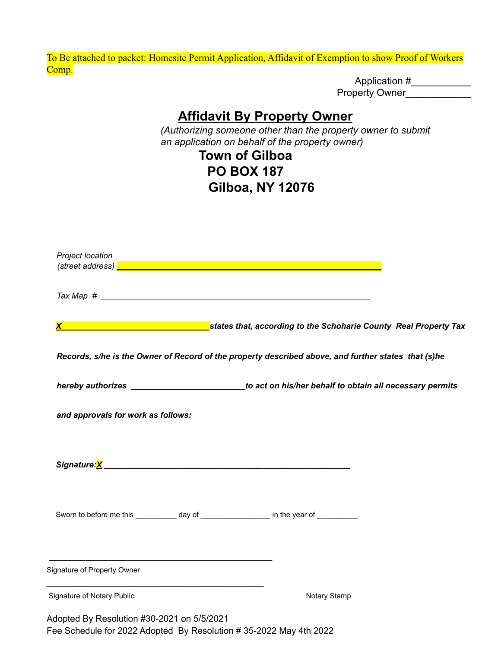To Be attached to packet: Homesite Permit Application, Affidavit of Exemption to show Proof of Workers Comp.

Application #\_\_\_\_\_\_\_\_\_\_\_\_\_\_ Property Owner\_\_\_\_\_\_\_\_\_\_\_\_\_

## **Affidavit By Property Owner**

*(Authorizing someone other than the property owner to submit an application on behalf of the property owner)*

## **Town of Gilboa PO BOX 187 Gilboa, NY 12076**

| Project location                                                                                                                                      |                                                                                                                                   |  |
|-------------------------------------------------------------------------------------------------------------------------------------------------------|-----------------------------------------------------------------------------------------------------------------------------------|--|
|                                                                                                                                                       |                                                                                                                                   |  |
|                                                                                                                                                       | <u>X X Service County Real Property Tax</u> States that, according to the Schoharie County Real Property Tax                      |  |
|                                                                                                                                                       | Records, s/he is the Owner of Record of the property described above, and further states that (s)he                               |  |
|                                                                                                                                                       | hereby authorizes <b>contained a large contained a large contained a</b> to act on his/her behalf to obtain all necessary permits |  |
| and approvals for work as follows:                                                                                                                    |                                                                                                                                   |  |
|                                                                                                                                                       |                                                                                                                                   |  |
|                                                                                                                                                       | Sworn to before me this ____________ day of ____________________ in the year of ___________.                                      |  |
| <u> 1989 - Johann John Stein, mensk politik foar de ferskearre fan de ferskearre fan de ferskearre fan de ferskear</u><br>Signature of Property Owner |                                                                                                                                   |  |
| Signature of Notary Public                                                                                                                            | Notary Stamp                                                                                                                      |  |
| Adopted By Resolution #30-2021 on 5/5/2021                                                                                                            | Fee Schedule for 2022 Adopted By Resolution #35-2022 May 4th 2022                                                                 |  |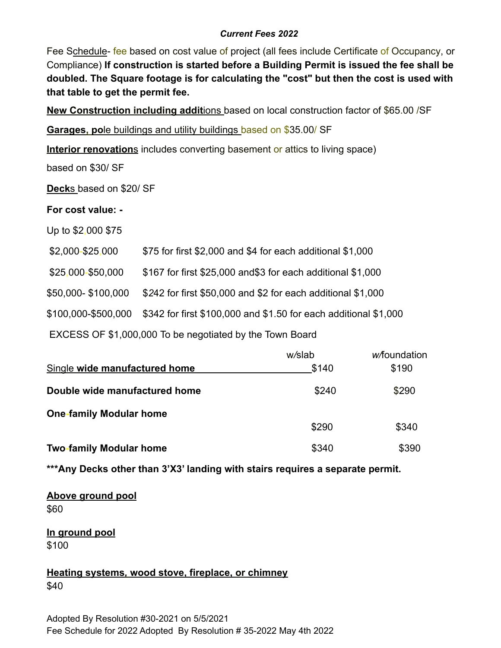#### *Current Fees 2022*

Fee Schedule- fee based on cost value of project (all fees include Certificate of Occupancy, or Compliance) **If construction is started before a Building Permit is issued the fee shall be doubled. The Square footage is for calculating the "cost" but then the cost is used with that table to get the permit fee.**

**New Construction including addit**ions based on local construction factor of \$65.00 /SF

**Garages, po**le buildings and utility buildings based on \$35.00/ SF

**Interior renovation**s includes converting basement or attics to living space)

based on \$30/ SF

**Deck**s based on \$20/ SF

**For cost value: -**

Up to \$2,000 \$75

\$2,000-\$25,000 \$75 for first \$2,000 and \$4 for each additional \$1,000

\$25,000-\$50,000 \$167 for first \$25,000 and\$3 for each additional \$1,000

\$50,000- \$100,000 \$*2*42 for first \$50,000 and \$2 for each additional \$1,000

\$100,000-\$500,000 \$342 for first \$100,000 and \$1.50 for each additional \$1,000

EXCESS OF \$1,000,000 To be negotiated by the Town Board

|                                | w/slab | <i>w</i> /foundation |
|--------------------------------|--------|----------------------|
| Single wide manufactured home  | \$140  | \$190                |
| Double wide manufactured home  | \$240  | \$290                |
| <b>One-family Modular home</b> |        |                      |
|                                | \$290  | \$340                |
| <b>Two-family Modular home</b> | \$340  | \$390                |

**\*\*\*Any Decks other than 3'X3' landing with stairs requires a separate permit.**

**Above ground pool** \$60

**In ground pool** \$100

**Heating systems***,* **wood stove, fireplace, or chimney** \$40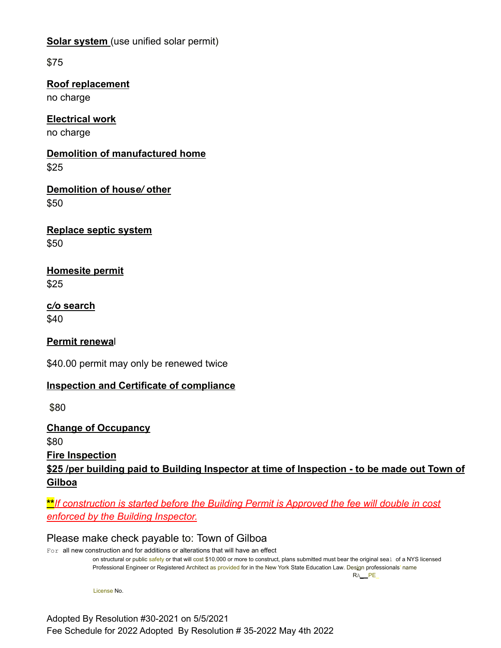**Solar system** (use unified solar permit)

\$75

**Roof replacement** no charge

**Electrical work** no charge

**Demolition of manufactured home** \$25

**Demolition of hous***e/* **other** \$50

**Replace septic system** \$50

**Homesite permit** \$25

**c***/***o search** \$40

**Permit renewa**l

\$40.00 permit may only be renewed twice

### **Inspection and Certificate of compliance**

\$80

**Change of Occupancy** \$80

**Fire Inspection**

**\$25 /per building paid to Building Inspector at time of Inspection - to be made out Town of Gilboa**

**\*\****If construction is started before the Building Permit is Approved the fee will double in cost enforced by the Building Inspector.*

Please make check payable to: Town of Gilboa

For all new construction and for additions or alterations that will have an effect on structural or public safety or that will cost \$10,000 or more to construct, plans submitted must bear the original seal of a NYS licensed Professional Engineer or Registered Architect as provided for in the New York State Education Law. Design professionals' name RA\_\_ PE\_

License No.